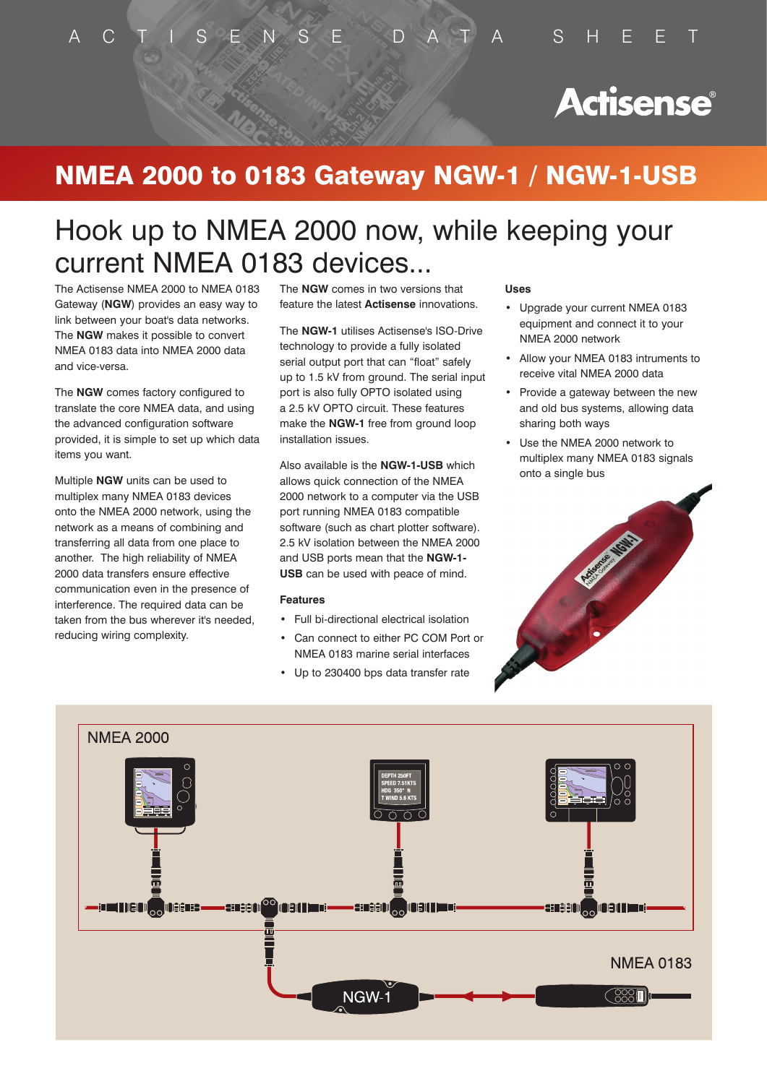# **Actisense**®

# NMEA 2000 to 0183 Gateway NGW-1 / NGW-1-USB

# Hook up to NMEA 2000 now, while keeping your current NMEA 0183 devices...

The Actisense NMEA 2000 to NMEA 0183 Gateway (**NGW**) provides an easy way to link between your boat's data networks. The **NGW** makes it possible to convert NMEA 0183 data into NMEA 2000 data and vice-versa.

The **NGW** comes factory configured to translate the core NMEA data, and using the advanced configuration software provided, it is simple to set up which data items you want.

Multiple **NGW** units can be used to multiplex many NMEA 0183 devices onto the NMEA 2000 network, using the network as a means of combining and transferring all data from one place to another. The high reliability of NMEA 2000 data transfers ensure effective communication even in the presence of interference. The required data can be taken from the bus wherever it's needed, reducing wiring complexity.

The **NGW** comes in two versions that feature the latest **Actisense** innovations.

The **NGW-1** utilises Actisense's ISO-Drive technology to provide a fully isolated serial output port that can "float" safely up to 1.5 kV from ground. The serial input port is also fully OPTO isolated using a 2.5 kV OPTO circuit. These features make the **NGW-1** free from ground loop installation issues.

Also available is the **NGW-1-USB** which allows quick connection of the NMEA 2000 network to a computer via the USB port running NMEA 0183 compatible software (such as chart plotter software). 2.5 kV isolation between the NMEA 2000 and USB ports mean that the **NGW-1- USB** can be used with peace of mind.

### **Features**

- • Full bi-directional electrical isolation
- • Can connect to either PC COM Port or NMEA 0183 marine serial interfaces
- • Up to 230400 bps data transfer rate

### **Uses**

- • Upgrade your current NMEA 0183 equipment and connect it to your NMEA 2000 network
- • Allow your NMEA 0183 intruments to receive vital NMEA 2000 data
- • Provide a gateway between the new and old bus systems, allowing data sharing both ways
- • Use the NMEA 2000 network to multiplex many NMEA 0183 signals onto a single bus